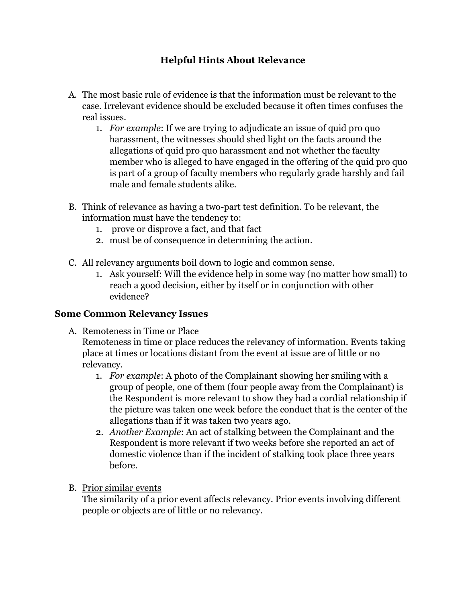## **Helpful Hints About Relevance**

- case. Irrelevant evidence should be excluded because it often times confuses the A. The most basic rule of evidence is that the information must be relevant to the real issues.
	- 1. *For example*: If we are trying to adjudicate an issue of quid pro quo harassment, the witnesses should shed light on the facts around the allegations of quid pro quo harassment and not whether the faculty member who is alleged to have engaged in the offering of the quid pro quo is part of a group of faculty members who regularly grade harshly and fail male and female students alike.
- B. Think of relevance as having a two-part test definition. To be relevant, the information must have the tendency to:
	- 1. prove or disprove a fact, and that fact
	- 2. must be of consequence in determining the action.
- C. All relevancy arguments boil down to logic and common sense.
	- 1. Ask yourself: Will the evidence help in some way (no matter how small) to reach a good decision, either by itself or in conjunction with other evidence?

## **Some Common Relevancy Issues**

A. Remoteness in Time or Place

Remoteness in time or place reduces the relevancy of information. Events taking place at times or locations distant from the event at issue are of little or no relevancy.

- the Respondent is more relevant to show they had a cordial relationship if 1. *For example*: A photo of the Complainant showing her smiling with a group of people, one of them (four people away from the Complainant) is the picture was taken one week before the conduct that is the center of the allegations than if it was taken two years ago.
- 2. *Another Example*: An act of stalking between the Complainant and the Respondent is more relevant if two weeks before she reported an act of domestic violence than if the incident of stalking took place three years before.
- B. Prior similar events

The similarity of a prior event affects relevancy. Prior events involving different people or objects are of little or no relevancy.